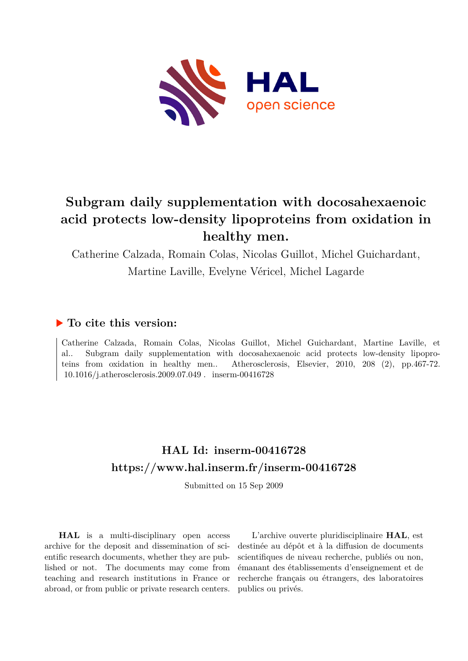

# **Subgram daily supplementation with docosahexaenoic acid protects low-density lipoproteins from oxidation in healthy men.**

Catherine Calzada, Romain Colas, Nicolas Guillot, Michel Guichardant,

Martine Laville, Evelyne Véricel, Michel Lagarde

# **To cite this version:**

Catherine Calzada, Romain Colas, Nicolas Guillot, Michel Guichardant, Martine Laville, et al.. Subgram daily supplementation with docosahexaenoic acid protects low-density lipoproteins from oxidation in healthy men.. Atherosclerosis, Elsevier, 2010, 208 (2), pp.467-72.  $10.1016$ /i.atherosclerosis.2009.07.049. inserm-00416728

# **HAL Id: inserm-00416728 <https://www.hal.inserm.fr/inserm-00416728>**

Submitted on 15 Sep 2009

**HAL** is a multi-disciplinary open access archive for the deposit and dissemination of scientific research documents, whether they are published or not. The documents may come from teaching and research institutions in France or abroad, or from public or private research centers.

L'archive ouverte pluridisciplinaire **HAL**, est destinée au dépôt et à la diffusion de documents scientifiques de niveau recherche, publiés ou non, émanant des établissements d'enseignement et de recherche français ou étrangers, des laboratoires publics ou privés.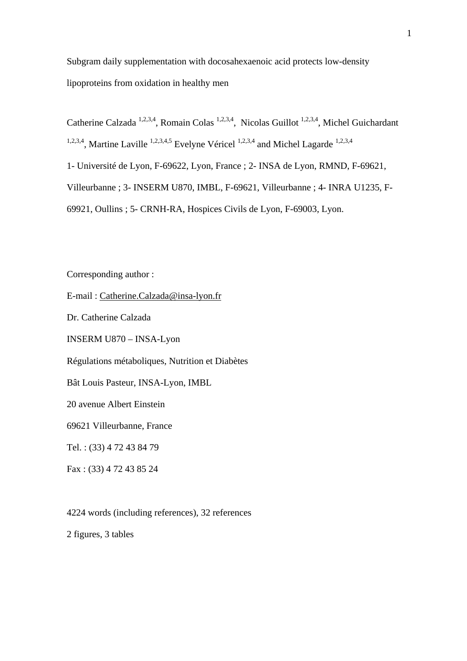Subgram daily supplementation with docosahexaenoic acid protects low-density lipoproteins from oxidation in healthy men

Catherine Calzada<sup>1,2,3,4</sup>, Romain Colas<sup>1,2,3,4</sup>, Nicolas Guillot<sup>1,2,3,4</sup>, Michel Guichardant <sup>1,2,3,4</sup>, Martine Laville <sup>1,2,3,4,5</sup> Evelyne Véricel<sup>1,2,3,4</sup> and Michel Lagarde<sup>1,2,3,4</sup>

1- Université de Lyon, F-69622, Lyon, France ; 2- INSA de Lyon, RMND, F-69621,

Villeurbanne ; 3- INSERM U870, IMBL, F-69621, Villeurbanne ; 4- INRA U1235, F-

69921, Oullins ; 5- CRNH-RA, Hospices Civils de Lyon, F-69003, Lyon.

Corresponding author :

E-mail : [Catherine.Calzada@insa-lyon.fr](mailto:Catherine.Calzada@insa-lyon.fr)

Dr. Catherine Calzada

INSERM U870 – INSA-Lyon

Régulations métaboliques, Nutrition et Diabètes

Bât Louis Pasteur, INSA-Lyon, IMBL

20 avenue Albert Einstein

69621 Villeurbanne, France

Tel. : (33) 4 72 43 84 79

Fax : (33) 4 72 43 85 24

4224 words (including references), 32 references

2 figures, 3 tables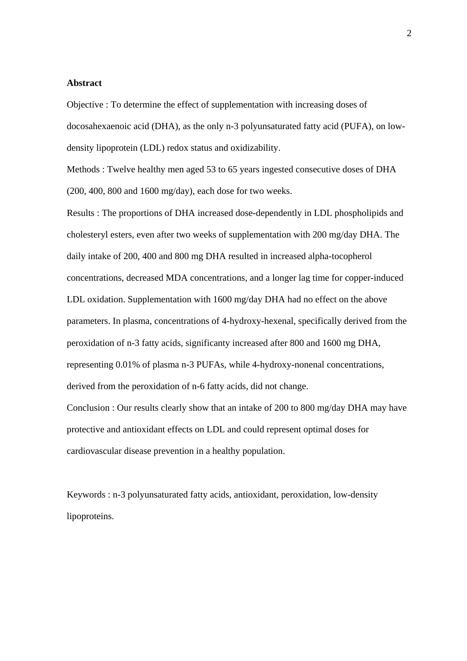# **Abstract**

Objective : To determine the effect of supplementation with increasing doses of docosahexaenoic acid (DHA), as the only n-3 polyunsaturated fatty acid (PUFA), on lowdensity lipoprotein (LDL) redox status and oxidizability.

Methods : Twelve healthy men aged 53 to 65 years ingested consecutive doses of DHA (200, 400, 800 and 1600 mg/day), each dose for two weeks.

Results : The proportions of DHA increased dose-dependently in LDL phospholipids and cholesteryl esters, even after two weeks of supplementation with 200 mg/day DHA. The daily intake of 200, 400 and 800 mg DHA resulted in increased alpha-tocopherol concentrations, decreased MDA concentrations, and a longer lag time for copper-induced LDL oxidation. Supplementation with 1600 mg/day DHA had no effect on the above parameters. In plasma, concentrations of 4-hydroxy-hexenal, specifically derived from the peroxidation of n-3 fatty acids, significanty increased after 800 and 1600 mg DHA, representing 0.01% of plasma n-3 PUFAs, while 4-hydroxy-nonenal concentrations, derived from the peroxidation of n-6 fatty acids, did not change.

Conclusion : Our results clearly show that an intake of 200 to 800 mg/day DHA may have protective and antioxidant effects on LDL and could represent optimal doses for cardiovascular disease prevention in a healthy population.

Keywords : n-3 polyunsaturated fatty acids, antioxidant, peroxidation, low-density lipoproteins.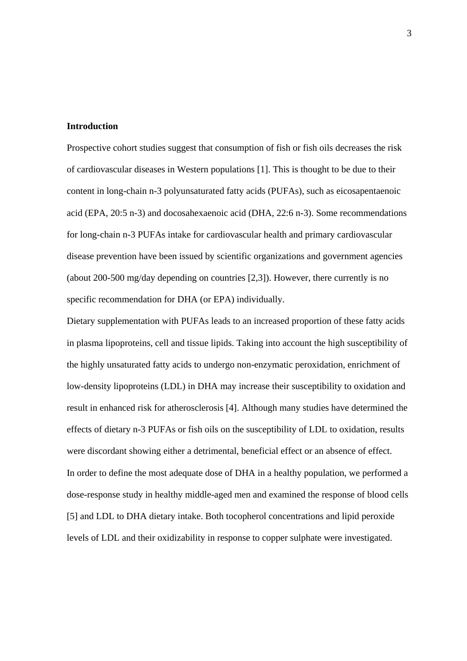## **Introduction**

Prospective cohort studies suggest that consumption of fish or fish oils decreases the risk of cardiovascular diseases in Western populations [1]. This is thought to be due to their content in long-chain n-3 polyunsaturated fatty acids (PUFAs), such as eicosapentaenoic acid (EPA, 20:5 n-3) and docosahexaenoic acid (DHA, 22:6 n-3). Some recommendations for long-chain n-3 PUFAs intake for cardiovascular health and primary cardiovascular disease prevention have been issued by scientific organizations and government agencies (about 200-500 mg/day depending on countries [2,3]). However, there currently is no specific recommendation for DHA (or EPA) individually.

Dietary supplementation with PUFAs leads to an increased proportion of these fatty acids in plasma lipoproteins, cell and tissue lipids. Taking into account the high susceptibility of the highly unsaturated fatty acids to undergo non-enzymatic peroxidation, enrichment of low-density lipoproteins (LDL) in DHA may increase their susceptibility to oxidation and result in enhanced risk for atherosclerosis [4]. Although many studies have determined the effects of dietary n-3 PUFAs or fish oils on the susceptibility of LDL to oxidation, results were discordant showing either a detrimental, beneficial effect or an absence of effect. In order to define the most adequate dose of DHA in a healthy population, we performed a dose-response study in healthy middle-aged men and examined the response of blood cells [5] and LDL to DHA dietary intake. Both tocopherol concentrations and lipid peroxide levels of LDL and their oxidizability in response to copper sulphate were investigated.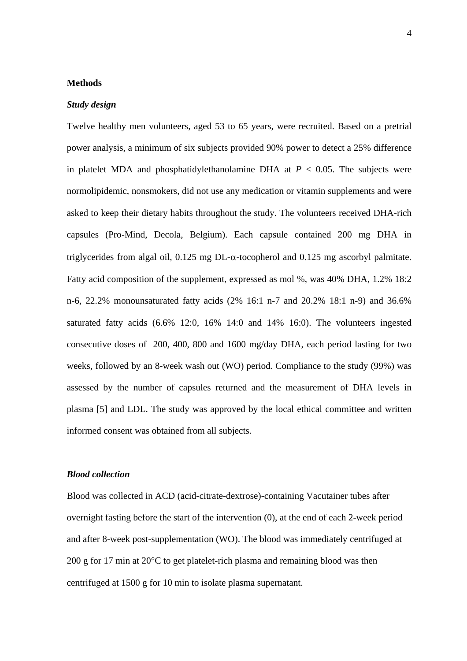### **Methods**

#### *Study design*

Twelve healthy men volunteers, aged 53 to 65 years, were recruited. Based on a pretrial power analysis, a minimum of six subjects provided 90% power to detect a 25% difference in platelet MDA and phosphatidylethanolamine DHA at  $P < 0.05$ . The subjects were normolipidemic, nonsmokers, did not use any medication or vitamin supplements and were asked to keep their dietary habits throughout the study. The volunteers received DHA-rich capsules (Pro-Mind, Decola, Belgium). Each capsule contained 200 mg DHA in triglycerides from algal oil,  $0.125$  mg DL- $\alpha$ -tocopherol and  $0.125$  mg ascorbyl palmitate. Fatty acid composition of the supplement, expressed as mol %, was 40% DHA, 1.2% 18:2 n-6, 22.2% monounsaturated fatty acids (2% 16:1 n-7 and 20.2% 18:1 n-9) and 36.6% saturated fatty acids (6.6% 12:0, 16% 14:0 and 14% 16:0). The volunteers ingested consecutive doses of 200, 400, 800 and 1600 mg/day DHA, each period lasting for two weeks, followed by an 8-week wash out (WO) period. Compliance to the study (99%) was assessed by the number of capsules returned and the measurement of DHA levels in plasma [5] and LDL. The study was approved by the local ethical committee and written informed consent was obtained from all subjects.

### *Blood collection*

Blood was collected in ACD (acid-citrate-dextrose)-containing Vacutainer tubes after overnight fasting before the start of the intervention (0), at the end of each 2-week period and after 8-week post-supplementation (WO). The blood was immediately centrifuged at 200 g for 17 min at 20°C to get platelet-rich plasma and remaining blood was then centrifuged at 1500 g for 10 min to isolate plasma supernatant.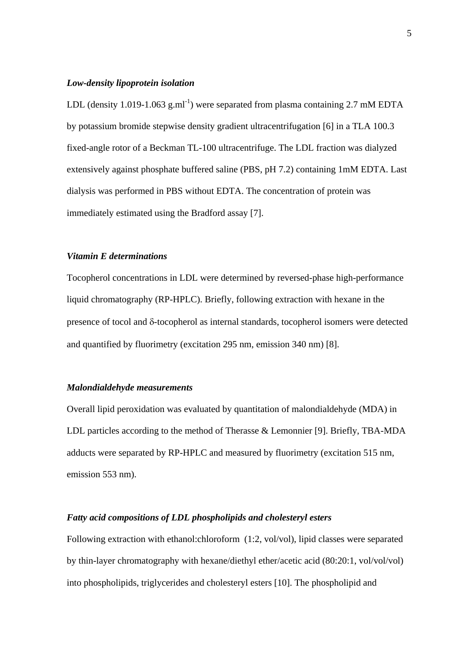# *Low-density lipoprotein isolation*

LDL (density 1.019-1.063 g.ml<sup>-1</sup>) were separated from plasma containing 2.7 mM EDTA by potassium bromide stepwise density gradient ultracentrifugation [6] in a TLA 100.3 fixed-angle rotor of a Beckman TL-100 ultracentrifuge. The LDL fraction was dialyzed extensively against phosphate buffered saline (PBS, pH 7.2) containing 1mM EDTA. Last dialysis was performed in PBS without EDTA. The concentration of protein was immediately estimated using the Bradford assay [7].

# *Vitamin E determinations*

Tocopherol concentrations in LDL were determined by reversed-phase high-performance liquid chromatography (RP-HPLC). Briefly, following extraction with hexane in the presence of tocol and δ-tocopherol as internal standards, tocopherol isomers were detected and quantified by fluorimetry (excitation 295 nm, emission 340 nm) [8].

#### *Malondialdehyde measurements*

Overall lipid peroxidation was evaluated by quantitation of malondialdehyde (MDA) in LDL particles according to the method of Therasse & Lemonnier [9]. Briefly, TBA-MDA adducts were separated by RP-HPLC and measured by fluorimetry (excitation 515 nm, emission 553 nm).

### *Fatty acid compositions of LDL phospholipids and cholesteryl esters*

Following extraction with ethanol:chloroform (1:2, vol/vol), lipid classes were separated by thin-layer chromatography with hexane/diethyl ether/acetic acid (80:20:1, vol/vol/vol) into phospholipids, triglycerides and cholesteryl esters [10]. The phospholipid and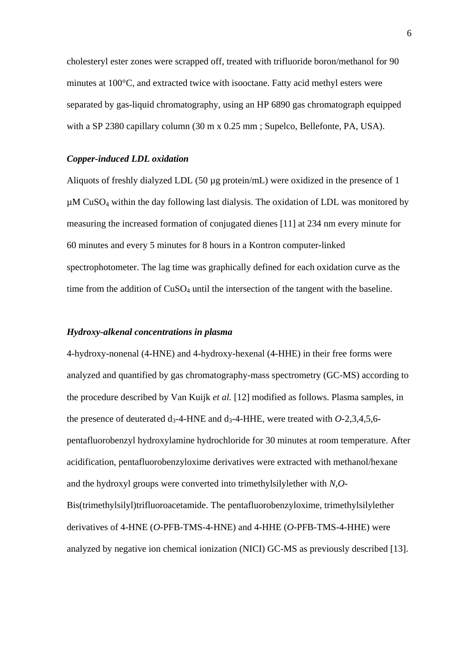cholesteryl ester zones were scrapped off, treated with trifluoride boron/methanol for 90 minutes at 100°C, and extracted twice with isooctane. Fatty acid methyl esters were separated by gas-liquid chromatography, using an HP 6890 gas chromatograph equipped with a SP 2380 capillary column (30 m x 0.25 mm; Supelco, Bellefonte, PA, USA).

### *Copper-induced LDL oxidation*

Aliquots of freshly dialyzed LDL (50 µg protein/mL) were oxidized in the presence of 1  $\mu$ M CuSO<sub>4</sub> within the day following last dialysis. The oxidation of LDL was monitored by measuring the increased formation of conjugated dienes [11] at 234 nm every minute for 60 minutes and every 5 minutes for 8 hours in a Kontron computer-linked spectrophotometer. The lag time was graphically defined for each oxidation curve as the time from the addition of  $CuSO<sub>4</sub>$  until the intersection of the tangent with the baseline.

# *Hydroxy-alkenal concentrations in plasma*

4-hydroxy-nonenal (4-HNE) and 4-hydroxy-hexenal (4-HHE) in their free forms were analyzed and quantified by gas chromatography-mass spectrometry (GC-MS) according to the procedure described by Van Kuijk *et al.* [12] modified as follows. Plasma samples, in the presence of deuterated  $d_3$ -4-HNE and  $d_3$ -4-HHE, were treated with *O*-2,3,4,5,6pentafluorobenzyl hydroxylamine hydrochloride for 30 minutes at room temperature. After acidification, pentafluorobenzyloxime derivatives were extracted with methanol/hexane and the hydroxyl groups were converted into trimethylsilylether with *N,O*-Bis(trimethylsilyl)trifluoroacetamide. The pentafluorobenzyloxime, trimethylsilylether derivatives of 4-HNE (*O*-PFB-TMS-4-HNE) and 4-HHE (*O*-PFB-TMS-4-HHE) were analyzed by negative ion chemical ionization (NICI) GC-MS as previously described [13].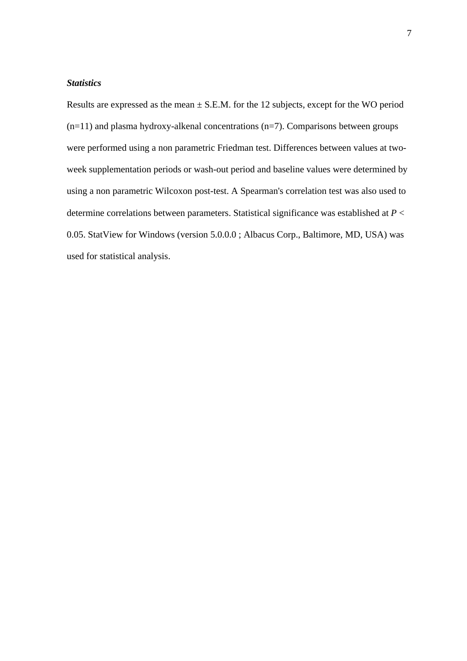# *Statistics*

Results are expressed as the mean  $\pm$  S.E.M. for the 12 subjects, except for the WO period  $(n=11)$  and plasma hydroxy-alkenal concentrations  $(n=7)$ . Comparisons between groups were performed using a non parametric Friedman test. Differences between values at twoweek supplementation periods or wash-out period and baseline values were determined by using a non parametric Wilcoxon post-test. A Spearman's correlation test was also used to determine correlations between parameters. Statistical significance was established at *P* < 0.05. StatView for Windows (version 5.0.0.0 ; Albacus Corp., Baltimore, MD, USA) was used for statistical analysis.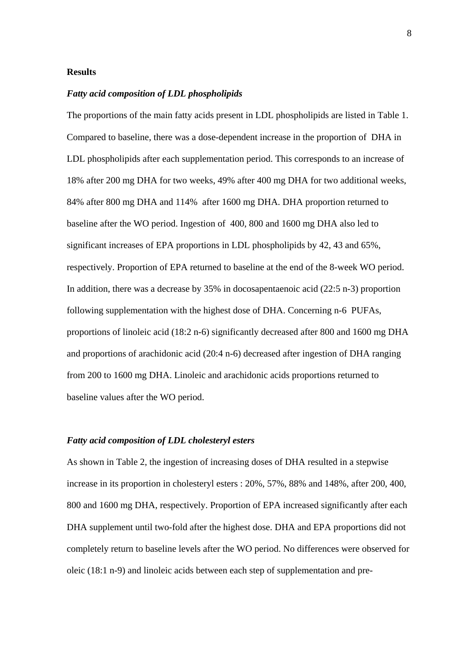### **Results**

## *Fatty acid composition of LDL phospholipids*

The proportions of the main fatty acids present in LDL phospholipids are listed in Table 1. Compared to baseline, there was a dose-dependent increase in the proportion of DHA in LDL phospholipids after each supplementation period. This corresponds to an increase of 18% after 200 mg DHA for two weeks, 49% after 400 mg DHA for two additional weeks, 84% after 800 mg DHA and 114% after 1600 mg DHA. DHA proportion returned to baseline after the WO period. Ingestion of 400, 800 and 1600 mg DHA also led to significant increases of EPA proportions in LDL phospholipids by 42, 43 and 65%, respectively. Proportion of EPA returned to baseline at the end of the 8-week WO period. In addition, there was a decrease by 35% in docosapentaenoic acid (22:5 n-3) proportion following supplementation with the highest dose of DHA. Concerning n-6 PUFAs, proportions of linoleic acid (18:2 n-6) significantly decreased after 800 and 1600 mg DHA and proportions of arachidonic acid (20:4 n-6) decreased after ingestion of DHA ranging from 200 to 1600 mg DHA. Linoleic and arachidonic acids proportions returned to baseline values after the WO period.

### *Fatty acid composition of LDL cholesteryl esters*

As shown in Table 2, the ingestion of increasing doses of DHA resulted in a stepwise increase in its proportion in cholesteryl esters : 20%, 57%, 88% and 148%, after 200, 400, 800 and 1600 mg DHA, respectively. Proportion of EPA increased significantly after each DHA supplement until two-fold after the highest dose. DHA and EPA proportions did not completely return to baseline levels after the WO period. No differences were observed for oleic (18:1 n-9) and linoleic acids between each step of supplementation and pre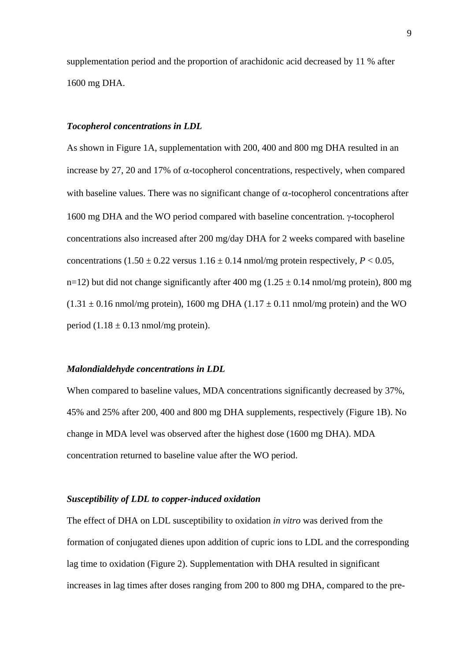supplementation period and the proportion of arachidonic acid decreased by 11 % after 1600 mg DHA.

### *Tocopherol concentrations in LDL*

As shown in Figure 1A, supplementation with 200, 400 and 800 mg DHA resulted in an increase by 27, 20 and 17% of  $\alpha$ -tocopherol concentrations, respectively, when compared with baseline values. There was no significant change of  $\alpha$ -tocopherol concentrations after 1600 mg DHA and the WO period compared with baseline concentration. γ-tocopherol concentrations also increased after 200 mg/day DHA for 2 weeks compared with baseline concentrations  $(1.50 \pm 0.22 \text{ versus } 1.16 \pm 0.14 \text{ nmol/mg protein respectively, } P < 0.05$ , n=12) but did not change significantly after 400 mg ( $1.25 \pm 0.14$  nmol/mg protein), 800 mg  $(1.31 \pm 0.16 \text{ nmol/mg protein})$ , 1600 mg DHA  $(1.17 \pm 0.11 \text{ nmol/mg protein})$  and the WO period  $(1.18 \pm 0.13 \text{ nmol/mg protein})$ .

#### *Malondialdehyde concentrations in LDL*

When compared to baseline values, MDA concentrations significantly decreased by 37%, 45% and 25% after 200, 400 and 800 mg DHA supplements, respectively (Figure 1B). No change in MDA level was observed after the highest dose (1600 mg DHA). MDA concentration returned to baseline value after the WO period.

### *Susceptibility of LDL to copper-induced oxidation*

The effect of DHA on LDL susceptibility to oxidation *in vitro* was derived from the formation of conjugated dienes upon addition of cupric ions to LDL and the corresponding lag time to oxidation (Figure 2). Supplementation with DHA resulted in significant increases in lag times after doses ranging from 200 to 800 mg DHA, compared to the pre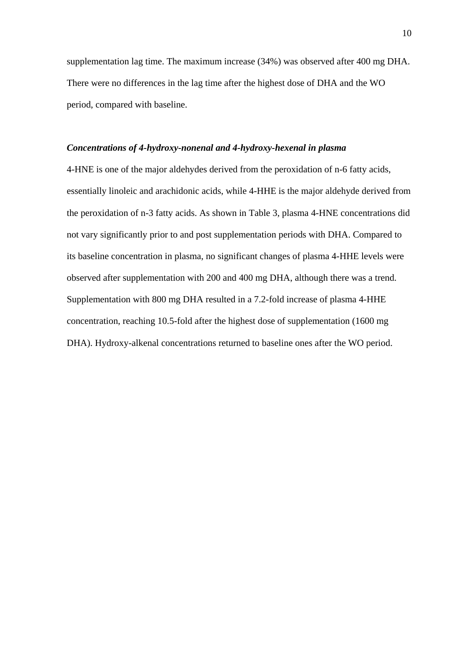supplementation lag time. The maximum increase (34%) was observed after 400 mg DHA. There were no differences in the lag time after the highest dose of DHA and the WO period, compared with baseline.

### *Concentrations of 4-hydroxy-nonenal and 4-hydroxy-hexenal in plasma*

4-HNE is one of the major aldehydes derived from the peroxidation of n-6 fatty acids, essentially linoleic and arachidonic acids, while 4-HHE is the major aldehyde derived from the peroxidation of n-3 fatty acids. As shown in Table 3, plasma 4-HNE concentrations did not vary significantly prior to and post supplementation periods with DHA. Compared to its baseline concentration in plasma, no significant changes of plasma 4-HHE levels were observed after supplementation with 200 and 400 mg DHA, although there was a trend. Supplementation with 800 mg DHA resulted in a 7.2-fold increase of plasma 4-HHE concentration, reaching 10.5-fold after the highest dose of supplementation (1600 mg DHA). Hydroxy-alkenal concentrations returned to baseline ones after the WO period.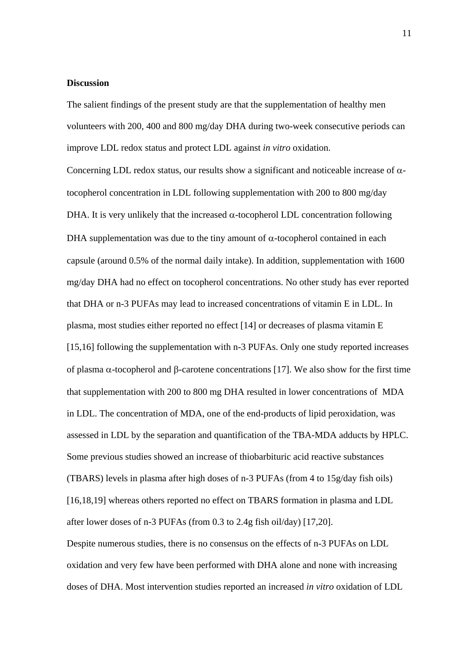### **Discussion**

The salient findings of the present study are that the supplementation of healthy men volunteers with 200, 400 and 800 mg/day DHA during two-week consecutive periods can improve LDL redox status and protect LDL against *in vitro* oxidation.

Concerning LDL redox status, our results show a significant and noticeable increase of  $\alpha$ tocopherol concentration in LDL following supplementation with 200 to 800 mg/day DHA. It is very unlikely that the increased  $\alpha$ -tocopherol LDL concentration following DHA supplementation was due to the tiny amount of  $α$ -tocopherol contained in each capsule (around 0.5% of the normal daily intake). In addition, supplementation with 1600 mg/day DHA had no effect on tocopherol concentrations. No other study has ever reported that DHA or n-3 PUFAs may lead to increased concentrations of vitamin E in LDL. In plasma, most studies either reported no effect [14] or decreases of plasma vitamin E [15,16] following the supplementation with n-3 PUFAs. Only one study reported increases of plasma α-tocopherol and β-carotene concentrations [17]. We also show for the first time that supplementation with 200 to 800 mg DHA resulted in lower concentrations of MDA in LDL. The concentration of MDA, one of the end-products of lipid peroxidation, was assessed in LDL by the separation and quantification of the TBA-MDA adducts by HPLC. Some previous studies showed an increase of thiobarbituric acid reactive substances (TBARS) levels in plasma after high doses of n-3 PUFAs (from 4 to 15g/day fish oils) [16,18,19] whereas others reported no effect on TBARS formation in plasma and LDL after lower doses of n-3 PUFAs (from 0.3 to 2.4g fish oil/day) [17,20].

Despite numerous studies, there is no consensus on the effects of n-3 PUFAs on LDL oxidation and very few have been performed with DHA alone and none with increasing doses of DHA. Most intervention studies reported an increased *in vitro* oxidation of LDL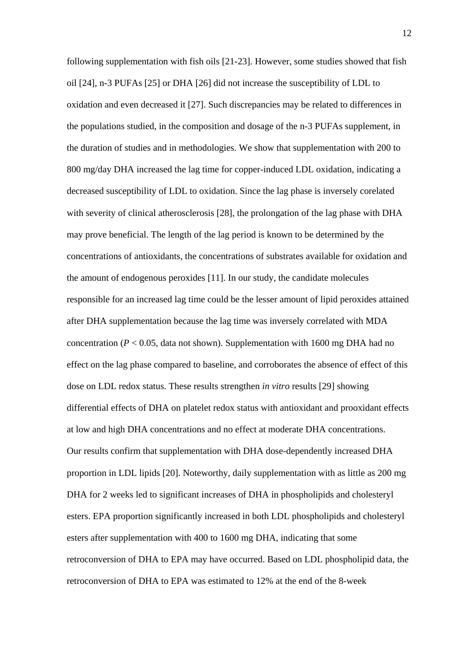following supplementation with fish oils [21-23]. However, some studies showed that fish oil [24], n-3 PUFAs [25] or DHA [26] did not increase the susceptibility of LDL to oxidation and even decreased it [27]. Such discrepancies may be related to differences in the populations studied, in the composition and dosage of the n-3 PUFAs supplement, in the duration of studies and in methodologies. We show that supplementation with 200 to 800 mg/day DHA increased the lag time for copper-induced LDL oxidation, indicating a decreased susceptibility of LDL to oxidation. Since the lag phase is inversely corelated with severity of clinical atherosclerosis [28], the prolongation of the lag phase with DHA may prove beneficial. The length of the lag period is known to be determined by the concentrations of antioxidants, the concentrations of substrates available for oxidation and the amount of endogenous peroxides [11]. In our study, the candidate molecules responsible for an increased lag time could be the lesser amount of lipid peroxides attained after DHA supplementation because the lag time was inversely correlated with MDA concentration ( $P < 0.05$ , data not shown). Supplementation with 1600 mg DHA had no effect on the lag phase compared to baseline, and corroborates the absence of effect of this dose on LDL redox status. These results strengthen *in vitro* results [29] showing differential effects of DHA on platelet redox status with antioxidant and prooxidant effects at low and high DHA concentrations and no effect at moderate DHA concentrations. Our results confirm that supplementation with DHA dose-dependently increased DHA proportion in LDL lipids [20]. Noteworthy, daily supplementation with as little as 200 mg DHA for 2 weeks led to significant increases of DHA in phospholipids and cholesteryl esters. EPA proportion significantly increased in both LDL phospholipids and cholesteryl esters after supplementation with 400 to 1600 mg DHA, indicating that some retroconversion of DHA to EPA may have occurred. Based on LDL phospholipid data, the retroconversion of DHA to EPA was estimated to 12% at the end of the 8-week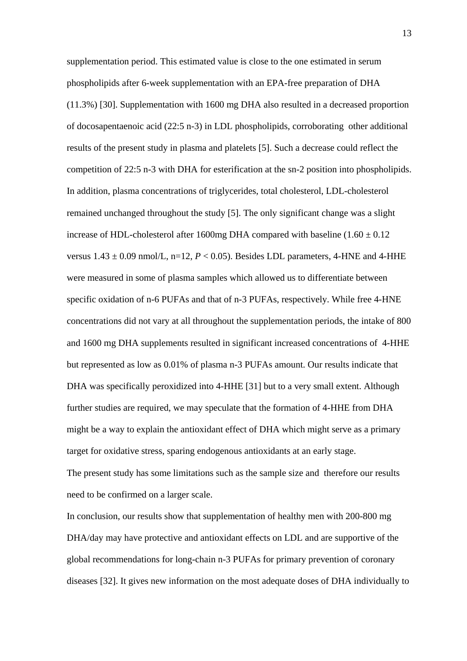supplementation period. This estimated value is close to the one estimated in serum phospholipids after 6-week supplementation with an EPA-free preparation of DHA (11.3%) [30]. Supplementation with 1600 mg DHA also resulted in a decreased proportion of docosapentaenoic acid (22:5 n-3) in LDL phospholipids, corroborating other additional results of the present study in plasma and platelets [5]. Such a decrease could reflect the competition of 22:5 n-3 with DHA for esterification at the sn-2 position into phospholipids. In addition, plasma concentrations of triglycerides, total cholesterol, LDL-cholesterol remained unchanged throughout the study [5]. The only significant change was a slight increase of HDL-cholesterol after 1600mg DHA compared with baseline  $(1.60 \pm 0.12)$ versus  $1.43 \pm 0.09$  nmol/L, n=12,  $P < 0.05$ ). Besides LDL parameters, 4-HNE and 4-HHE were measured in some of plasma samples which allowed us to differentiate between specific oxidation of n-6 PUFAs and that of n-3 PUFAs, respectively. While free 4-HNE concentrations did not vary at all throughout the supplementation periods, the intake of 800 and 1600 mg DHA supplements resulted in significant increased concentrations of 4-HHE but represented as low as 0.01% of plasma n-3 PUFAs amount. Our results indicate that DHA was specifically peroxidized into 4-HHE [31] but to a very small extent. Although further studies are required, we may speculate that the formation of 4-HHE from DHA might be a way to explain the antioxidant effect of DHA which might serve as a primary target for oxidative stress, sparing endogenous antioxidants at an early stage. The present study has some limitations such as the sample size and therefore our results need to be confirmed on a larger scale.

In conclusion, our results show that supplementation of healthy men with 200-800 mg DHA/day may have protective and antioxidant effects on LDL and are supportive of the global recommendations for long-chain n-3 PUFAs for primary prevention of coronary diseases [32]. It gives new information on the most adequate doses of DHA individually to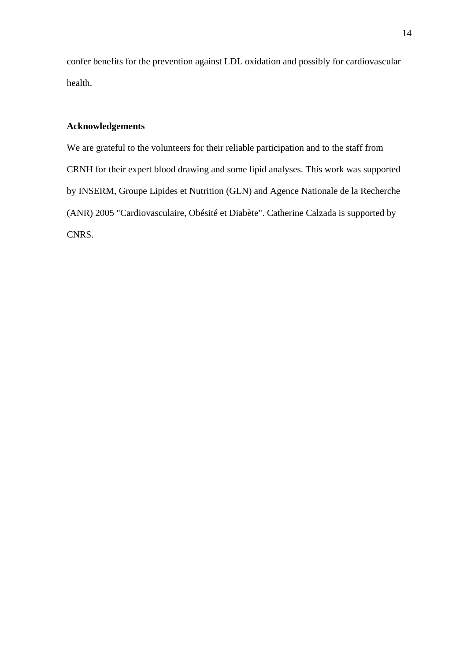confer benefits for the prevention against LDL oxidation and possibly for cardiovascular health.

# **Acknowledgements**

We are grateful to the volunteers for their reliable participation and to the staff from CRNH for their expert blood drawing and some lipid analyses. This work was supported by INSERM, Groupe Lipides et Nutrition (GLN) and Agence Nationale de la Recherche (ANR) 2005 "Cardiovasculaire, Obésité et Diabète". Catherine Calzada is supported by CNRS.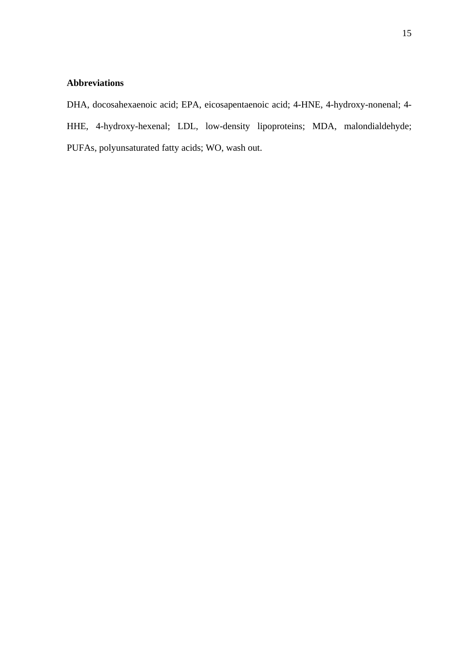# **Abbreviations**

DHA, docosahexaenoic acid; EPA, eicosapentaenoic acid; 4-HNE, 4-hydroxy-nonenal; 4- HHE, 4-hydroxy-hexenal; LDL, low-density lipoproteins; MDA, malondialdehyde; PUFAs, polyunsaturated fatty acids; WO, wash out.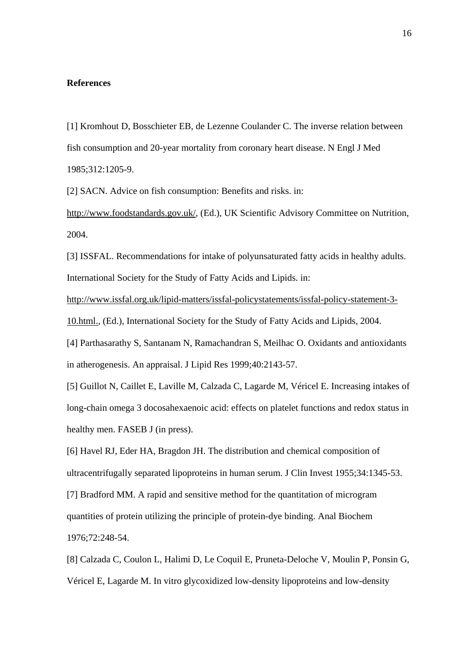### **References**

[1] Kromhout D, Bosschieter EB, de Lezenne Coulander C. The inverse relation between fish consumption and 20-year mortality from coronary heart disease. N Engl J Med 1985;312:1205-9.

[2] SACN. Advice on fish consumption: Benefits and risks. in:

<http://www.foodstandards.gov.uk/>, (Ed.), UK Scientific Advisory Committee on Nutrition, 2004.

[3] ISSFAL. Recommendations for intake of polyunsaturated fatty acids in healthy adults. International Society for the Study of Fatty Acids and Lipids. in:

[http://www.issfal.org.uk/lipid-matters/issfal-policystatements/issfal-policy-statement-3-](http://www.issfal.org.uk/lipid-matters/issfal-policystatements/issfal-policy-statement-3-10.html.)

[10.html.](http://www.issfal.org.uk/lipid-matters/issfal-policystatements/issfal-policy-statement-3-10.html.), (Ed.), International Society for the Study of Fatty Acids and Lipids, 2004.

[4] Parthasarathy S, Santanam N, Ramachandran S, Meilhac O. Oxidants and antioxidants in atherogenesis. An appraisal. J Lipid Res 1999;40:2143-57.

[5] Guillot N, Caillet E, Laville M, Calzada C, Lagarde M, Véricel E. Increasing intakes of long-chain omega 3 docosahexaenoic acid: effects on platelet functions and redox status in healthy men. FASEB J (in press).

[6] Havel RJ, Eder HA, Bragdon JH. The distribution and chemical composition of ultracentrifugally separated lipoproteins in human serum. J Clin Invest 1955;34:1345-53.

[7] Bradford MM. A rapid and sensitive method for the quantitation of microgram

quantities of protein utilizing the principle of protein-dye binding. Anal Biochem

1976;72:248-54.

[8] Calzada C, Coulon L, Halimi D, Le Coquil E, Pruneta-Deloche V, Moulin P, Ponsin G, Véricel E, Lagarde M. In vitro glycoxidized low-density lipoproteins and low-density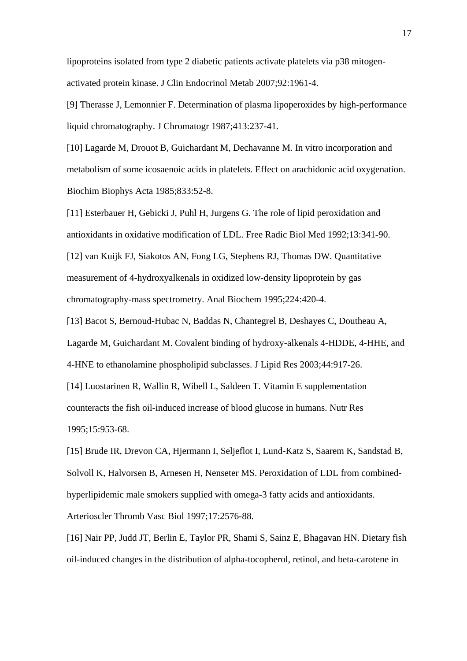lipoproteins isolated from type 2 diabetic patients activate platelets via p38 mitogenactivated protein kinase. J Clin Endocrinol Metab 2007;92:1961-4.

[9] Therasse J, Lemonnier F. Determination of plasma lipoperoxides by high-performance liquid chromatography. J Chromatogr 1987;413:237-41.

[10] Lagarde M, Drouot B, Guichardant M, Dechavanne M. In vitro incorporation and metabolism of some icosaenoic acids in platelets. Effect on arachidonic acid oxygenation. Biochim Biophys Acta 1985;833:52-8.

[11] Esterbauer H, Gebicki J, Puhl H, Jurgens G. The role of lipid peroxidation and antioxidants in oxidative modification of LDL. Free Radic Biol Med 1992;13:341-90. [12] van Kuijk FJ, Siakotos AN, Fong LG, Stephens RJ, Thomas DW. Quantitative measurement of 4-hydroxyalkenals in oxidized low-density lipoprotein by gas chromatography-mass spectrometry. Anal Biochem 1995;224:420-4.

[13] Bacot S, Bernoud-Hubac N, Baddas N, Chantegrel B, Deshayes C, Doutheau A, Lagarde M, Guichardant M. Covalent binding of hydroxy-alkenals 4-HDDE, 4-HHE, and

4-HNE to ethanolamine phospholipid subclasses. J Lipid Res 2003;44:917-26.

[14] Luostarinen R, Wallin R, Wibell L, Saldeen T. Vitamin E supplementation

counteracts the fish oil-induced increase of blood glucose in humans. Nutr Res 1995;15:953-68.

[15] Brude IR, Drevon CA, Hjermann I, Seljeflot I, Lund-Katz S, Saarem K, Sandstad B, Solvoll K, Halvorsen B, Arnesen H, Nenseter MS. Peroxidation of LDL from combinedhyperlipidemic male smokers supplied with omega-3 fatty acids and antioxidants. Arterioscler Thromb Vasc Biol 1997;17:2576-88.

[16] Nair PP, Judd JT, Berlin E, Taylor PR, Shami S, Sainz E, Bhagavan HN. Dietary fish oil-induced changes in the distribution of alpha-tocopherol, retinol, and beta-carotene in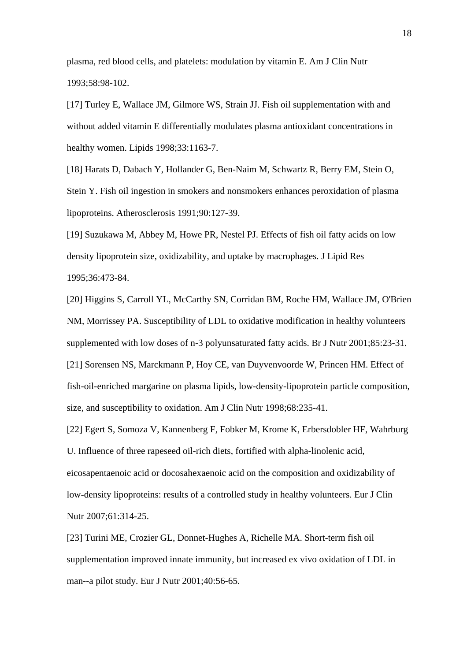plasma, red blood cells, and platelets: modulation by vitamin E. Am J Clin Nutr 1993;58:98-102.

[17] Turley E, Wallace JM, Gilmore WS, Strain JJ. Fish oil supplementation with and without added vitamin E differentially modulates plasma antioxidant concentrations in healthy women. Lipids 1998;33:1163-7.

[18] Harats D, Dabach Y, Hollander G, Ben-Naim M, Schwartz R, Berry EM, Stein O, Stein Y. Fish oil ingestion in smokers and nonsmokers enhances peroxidation of plasma lipoproteins. Atherosclerosis 1991;90:127-39.

[19] Suzukawa M, Abbey M, Howe PR, Nestel PJ. Effects of fish oil fatty acids on low density lipoprotein size, oxidizability, and uptake by macrophages. J Lipid Res 1995;36:473-84.

[20] Higgins S, Carroll YL, McCarthy SN, Corridan BM, Roche HM, Wallace JM, O'Brien NM, Morrissey PA. Susceptibility of LDL to oxidative modification in healthy volunteers supplemented with low doses of n-3 polyunsaturated fatty acids. Br J Nutr 2001;85:23-31. [21] Sorensen NS, Marckmann P, Hoy CE, van Duyvenvoorde W, Princen HM. Effect of fish-oil-enriched margarine on plasma lipids, low-density-lipoprotein particle composition, size, and susceptibility to oxidation. Am J Clin Nutr 1998;68:235-41.

[22] Egert S, Somoza V, Kannenberg F, Fobker M, Krome K, Erbersdobler HF, Wahrburg U. Influence of three rapeseed oil-rich diets, fortified with alpha-linolenic acid, eicosapentaenoic acid or docosahexaenoic acid on the composition and oxidizability of low-density lipoproteins: results of a controlled study in healthy volunteers. Eur J Clin Nutr 2007;61:314-25.

[23] Turini ME, Crozier GL, Donnet-Hughes A, Richelle MA. Short-term fish oil supplementation improved innate immunity, but increased ex vivo oxidation of LDL in man--a pilot study. Eur J Nutr 2001;40:56-65.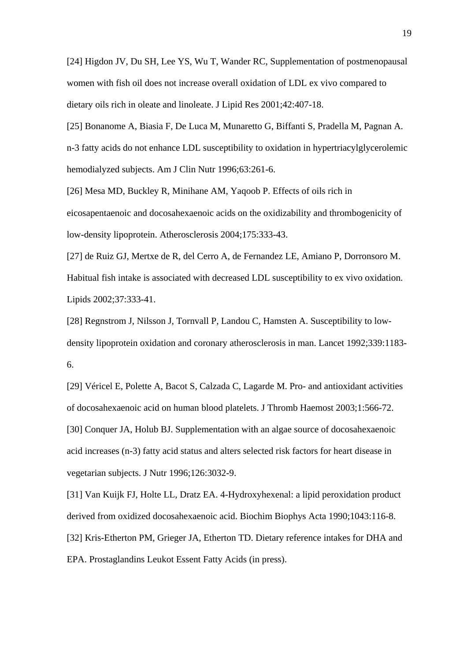[24] Higdon JV, Du SH, Lee YS, Wu T, Wander RC, Supplementation of postmenopausal women with fish oil does not increase overall oxidation of LDL ex vivo compared to dietary oils rich in oleate and linoleate. J Lipid Res 2001;42:407-18.

[25] Bonanome A, Biasia F, De Luca M, Munaretto G, Biffanti S, Pradella M, Pagnan A. n-3 fatty acids do not enhance LDL susceptibility to oxidation in hypertriacylglycerolemic hemodialyzed subjects. Am J Clin Nutr 1996;63:261-6.

[26] Mesa MD, Buckley R, Minihane AM, Yaqoob P. Effects of oils rich in eicosapentaenoic and docosahexaenoic acids on the oxidizability and thrombogenicity of low-density lipoprotein. Atherosclerosis 2004;175:333-43.

[27] de Ruiz GJ, Mertxe de R, del Cerro A, de Fernandez LE, Amiano P, Dorronsoro M. Habitual fish intake is associated with decreased LDL susceptibility to ex vivo oxidation. Lipids 2002;37:333-41.

[28] Regnstrom J, Nilsson J, Tornvall P, Landou C, Hamsten A. Susceptibility to lowdensity lipoprotein oxidation and coronary atherosclerosis in man. Lancet 1992;339:1183- 6.

[29] [Véricel E,](http://www.ncbi.nlm.nih.gov/sites/entrez?Db=pubmed&Cmd=Search&Term=%22V%C3%A9ricel%20E%22%5BAuthor%5D&itool=EntrezSystem2.PEntrez.Pubmed.Pubmed_ResultsPanel.Pubmed_DiscoveryPanel.Pubmed_RVAbstractPlus) [Polette A,](http://www.ncbi.nlm.nih.gov/sites/entrez?Db=pubmed&Cmd=Search&Term=%22Polette%20A%22%5BAuthor%5D&itool=EntrezSystem2.PEntrez.Pubmed.Pubmed_ResultsPanel.Pubmed_DiscoveryPanel.Pubmed_RVAbstractPlus) [Bacot S](http://www.ncbi.nlm.nih.gov/sites/entrez?Db=pubmed&Cmd=Search&Term=%22Bacot%20S%22%5BAuthor%5D&itool=EntrezSystem2.PEntrez.Pubmed.Pubmed_ResultsPanel.Pubmed_DiscoveryPanel.Pubmed_RVAbstractPlus), [Calzada C](http://www.ncbi.nlm.nih.gov/sites/entrez?Db=pubmed&Cmd=Search&Term=%22Calzada%20C%22%5BAuthor%5D&itool=EntrezSystem2.PEntrez.Pubmed.Pubmed_ResultsPanel.Pubmed_DiscoveryPanel.Pubmed_RVAbstractPlus), [Lagarde M](http://www.ncbi.nlm.nih.gov/sites/entrez?Db=pubmed&Cmd=Search&Term=%22Lagarde%20M%22%5BAuthor%5D&itool=EntrezSystem2.PEntrez.Pubmed.Pubmed_ResultsPanel.Pubmed_DiscoveryPanel.Pubmed_RVAbstractPlus). Pro- and antioxidant activities of docosahexaenoic acid on human blood platelets. [J Thromb Haemost](javascript:AL_get(this,%20) 2003;1:566-72. [30] Conquer JA, Holub BJ. Supplementation with an algae source of docosahexaenoic acid increases (n-3) fatty acid status and alters selected risk factors for heart disease in vegetarian subjects. J Nutr 1996;126:3032-9.

[31] Van Kuijk FJ, Holte LL, Dratz EA. 4-Hydroxyhexenal: a lipid peroxidation product derived from oxidized docosahexaenoic acid. Biochim Biophys Acta 1990;1043:116-8. [32] [Kris-Etherton PM](http://www.ncbi.nlm.nih.gov/sites/entrez?Db=pubmed&Cmd=Search&Term=%22Kris-Etherton%20PM%22%5BAuthor%5D&itool=EntrezSystem2.PEntrez.Pubmed.Pubmed_ResultsPanel.Pubmed_DiscoveryPanel.Pubmed_RVAbstractPlus), [Grieger JA](http://www.ncbi.nlm.nih.gov/sites/entrez?Db=pubmed&Cmd=Search&Term=%22Grieger%20JA%22%5BAuthor%5D&itool=EntrezSystem2.PEntrez.Pubmed.Pubmed_ResultsPanel.Pubmed_DiscoveryPanel.Pubmed_RVAbstractPlus), [Etherton TD.](http://www.ncbi.nlm.nih.gov/sites/entrez?Db=pubmed&Cmd=Search&Term=%22Etherton%20TD%22%5BAuthor%5D&itool=EntrezSystem2.PEntrez.Pubmed.Pubmed_ResultsPanel.Pubmed_DiscoveryPanel.Pubmed_RVAbstractPlus) Dietary reference intakes for DHA and EPA. [Prostaglandins Leukot Essent Fatty Acids](javascript:AL_get(this,%20) (in press).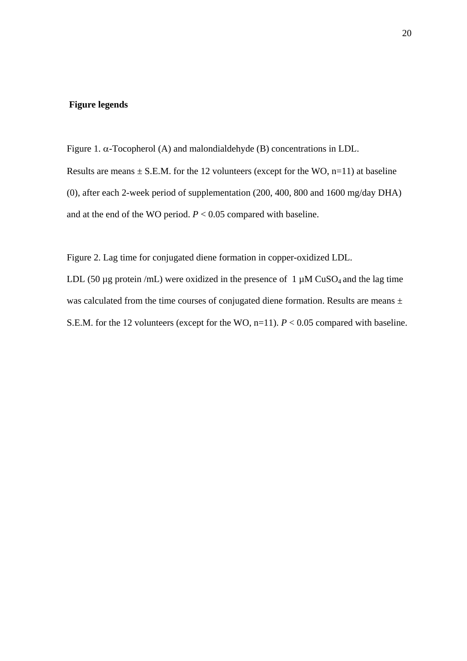### **Figure legends**

Figure 1. α-Tocopherol (A) and malondialdehyde (B) concentrations in LDL.

Results are means  $\pm$  S.E.M. for the 12 volunteers (except for the WO, n=11) at baseline (0), after each 2-week period of supplementation (200, 400, 800 and 1600 mg/day DHA) and at the end of the WO period.  $P < 0.05$  compared with baseline.

Figure 2. Lag time for conjugated diene formation in copper-oxidized LDL.

LDL (50  $\mu$ g protein /mL) were oxidized in the presence of 1  $\mu$ M CuSO<sub>4</sub> and the lag time was calculated from the time courses of conjugated diene formation. Results are means  $\pm$ S.E.M. for the 12 volunteers (except for the WO, n=11). *P* < 0.05 compared with baseline.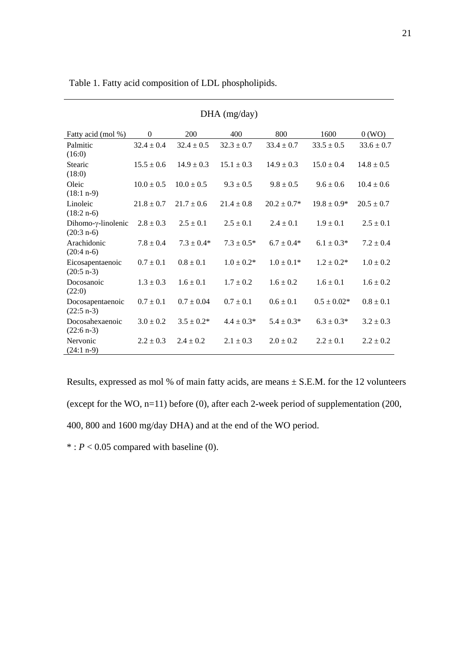| $DHA$ (mg/day)                              |                |                 |                 |                  |                 |                |
|---------------------------------------------|----------------|-----------------|-----------------|------------------|-----------------|----------------|
| Fatty acid (mol %)                          | $\mathbf{0}$   | 200             | 400             | 800              | 1600            | 0(WO)          |
| Palmitic<br>(16:0)                          | $32.4 \pm 0.4$ | $32.4 \pm 0.5$  | $32.3 \pm 0.7$  | $33.4 \pm 0.7$   | $33.5 \pm 0.5$  | $33.6 \pm 0.7$ |
| <b>Stearic</b><br>(18:0)                    | $15.5 \pm 0.6$ | $14.9 \pm 0.3$  | $15.1 \pm 0.3$  | $14.9 \pm 0.3$   | $15.0 \pm 0.4$  | $14.8 \pm 0.5$ |
| Oleic<br>$(18:1 n-9)$                       | $10.0 \pm 0.5$ | $10.0 \pm 0.5$  | $9.3 \pm 0.5$   | $9.8 \pm 0.5$    | $9.6 \pm 0.6$   | $10.4 \pm 0.6$ |
| Linoleic<br>$(18:2 n-6)$                    | $21.8 \pm 0.7$ | $21.7 \pm 0.6$  | $21.4 \pm 0.8$  | $20.2 \pm 0.7^*$ | $19.8 \pm 0.9*$ | $20.5 \pm 0.7$ |
| Dihomo- $\gamma$ -linolenic<br>$(20:3 n-6)$ | $2.8 \pm 0.3$  | $2.5 \pm 0.1$   | $2.5 \pm 0.1$   | $2.4 \pm 0.1$    | $1.9 \pm 0.1$   | $2.5 \pm 0.1$  |
| Arachidonic<br>$(20:4 n-6)$                 | $7.8 \pm 0.4$  | $7.3 \pm 0.4*$  | $7.3 \pm 0.5^*$ | $6.7 \pm 0.4*$   | $6.1 \pm 0.3*$  | $7.2 \pm 0.4$  |
| Eicosapentaenoic<br>$(20:5 n-3)$            | $0.7 \pm 0.1$  | $0.8 \pm 0.1$   | $1.0 \pm 0.2^*$ | $1.0 \pm 0.1*$   | $1.2 \pm 0.2^*$ | $1.0 \pm 0.2$  |
| Docosanoic<br>(22:0)                        | $1.3 \pm 0.3$  | $1.6 \pm 0.1$   | $1.7 \pm 0.2$   | $1.6 \pm 0.2$    | $1.6 \pm 0.1$   | $1.6 \pm 0.2$  |
| Docosapentaenoic<br>$(22:5 n-3)$            | $0.7 \pm 0.1$  | $0.7 \pm 0.04$  | $0.7 \pm 0.1$   | $0.6 \pm 0.1$    | $0.5 \pm 0.02*$ | $0.8 \pm 0.1$  |
| Docosahexaenoic<br>$(22:6 n-3)$             | $3.0 \pm 0.2$  | $3.5 \pm 0.2^*$ | $4.4 \pm 0.3*$  | $5.4 \pm 0.3*$   | $6.3 \pm 0.3*$  | $3.2 \pm 0.3$  |
| Nervonic<br>$(24:1 n-9)$                    | $2.2 \pm 0.3$  | $2.4 \pm 0.2$   | $2.1 \pm 0.3$   | $2.0 \pm 0.2$    | $2.2 \pm 0.1$   | $2.2 \pm 0.2$  |

Table 1. Fatty acid composition of LDL phospholipids.

Results, expressed as mol % of main fatty acids, are means  $\pm$  S.E.M. for the 12 volunteers (except for the WO, n=11) before (0), after each 2-week period of supplementation (200, 400, 800 and 1600 mg/day DHA) and at the end of the WO period.

 $*$ :  $P < 0.05$  compared with baseline (0).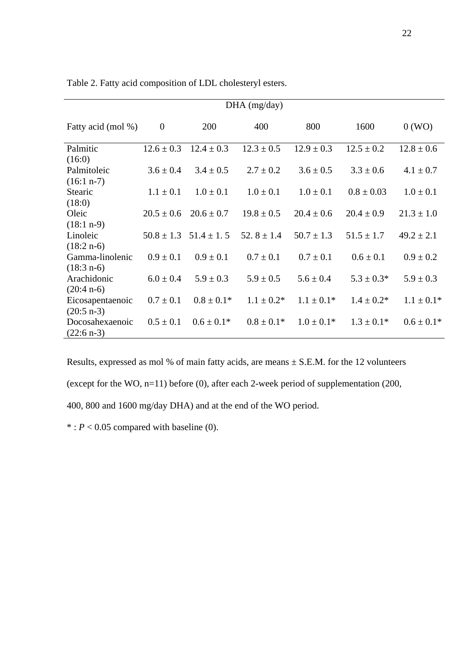| $DHA$ (mg/day)     |                  |                |                 |                |                |                |
|--------------------|------------------|----------------|-----------------|----------------|----------------|----------------|
| Fatty acid (mol %) | $\boldsymbol{0}$ | 200            | 400             | 800            | 1600           | 0(WO)          |
| Palmitic           | $12.6 \pm 0.3$   | $12.4 \pm 0.3$ | $12.3 \pm 0.5$  | $12.9 \pm 0.3$ | $12.5 \pm 0.2$ | $12.8 \pm 0.6$ |
| (16:0)             |                  |                |                 |                |                |                |
| Palmitoleic        | $3.6 \pm 0.4$    | $3.4 \pm 0.5$  | $2.7 \pm 0.2$   | $3.6 \pm 0.5$  | $3.3 \pm 0.6$  | $4.1 \pm 0.7$  |
| $(16:1 n-7)$       |                  |                |                 |                |                |                |
| Stearic            | $1.1 \pm 0.1$    | $1.0 \pm 0.1$  | $1.0 \pm 0.1$   | $1.0 \pm 0.1$  | $0.8 \pm 0.03$ | $1.0 \pm 0.1$  |
| (18:0)             |                  |                |                 |                |                |                |
| Oleic              | $20.5 \pm 0.6$   | $20.6 \pm 0.7$ | $19.8 \pm 0.5$  | $20.4 \pm 0.6$ | $20.4 \pm 0.9$ | $21.3 \pm 1.0$ |
| $(18:1 n-9)$       |                  |                |                 |                |                |                |
| Linoleic           | $50.8 \pm 1.3$   | $51.4 \pm 1.5$ | 52. $8 \pm 1.4$ | $50.7 \pm 1.3$ | $51.5 \pm 1.7$ | $49.2 \pm 2.1$ |
| $(18:2 n-6)$       |                  |                |                 |                |                |                |
| Gamma-linolenic    | $0.9 \pm 0.1$    | $0.9 \pm 0.1$  | $0.7 \pm 0.1$   | $0.7 \pm 0.1$  | $0.6 \pm 0.1$  | $0.9 \pm 0.2$  |
| $(18:3 n-6)$       |                  |                |                 |                |                |                |
| Arachidonic        | $6.0 \pm 0.4$    | $5.9 \pm 0.3$  | $5.9 \pm 0.5$   | $5.6 \pm 0.4$  | $5.3 \pm 0.3*$ | $5.9 \pm 0.3$  |
| $(20:4 n-6)$       |                  |                |                 |                |                |                |
| Eicosapentaenoic   | $0.7 \pm 0.1$    | $0.8 \pm 0.1*$ | $1.1 \pm 0.2^*$ | $1.1 \pm 0.1*$ | $1.4 \pm 0.2*$ | $1.1 \pm 0.1*$ |
| $(20:5 n-3)$       |                  |                |                 |                |                |                |
| Docosahexaenoic    | $0.5 \pm 0.1$    | $0.6 \pm 0.1*$ | $0.8 \pm 0.1*$  | $1.0 \pm 0.1*$ | $1.3 \pm 0.1*$ | $0.6 \pm 0.1*$ |
| $(22:6 n-3)$       |                  |                |                 |                |                |                |

Table 2. Fatty acid composition of LDL cholesteryl esters.

Results, expressed as mol % of main fatty acids, are means  $\pm$  S.E.M. for the 12 volunteers (except for the WO, n=11) before (0), after each 2-week period of supplementation (200, 400, 800 and 1600 mg/day DHA) and at the end of the WO period.

 $*$ :  $P < 0.05$  compared with baseline (0).